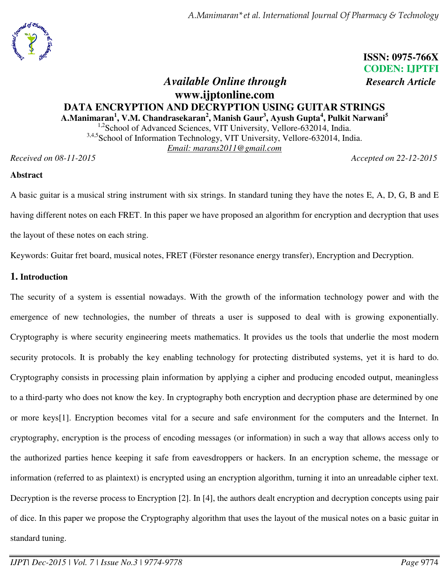*A.Manimaran\*et al. International Journal Of Pharmacy & Technology*



**ISSN: 0975-766X CODEN: IJPTFI**

# *Available Online through Research Article* **www.ijptonline.com DATA ENCRYPTION AND DECRYPTION USING GUITAR STRINGS A.Manimaran<sup>1</sup> , V.M. Chandrasekaran<sup>2</sup> , Manish Gaur<sup>3</sup> , Ayush Gupta<sup>4</sup> , Pulkit Narwani<sup>5</sup>** <sup>1,2</sup>School of Advanced Sciences, VIT University, Vellore-632014, India. <sup>3,4,5</sup>School of Information Technology, VIT University, Vellore-632014, India. *Email: marans2011@gmail.com*

*Received on 08-11-2015 Accepted on 22-12-2015* 

#### **Abstract**

A basic guitar is a musical string instrument with six strings. In standard tuning they have the notes E, A, D, G, B and E having different notes on each FRET. In this paper we have proposed an algorithm for encryption and decryption that uses the layout of these notes on each string.

Keywords: Guitar fret board, musical notes, FRET (Förster resonance energy transfer), Encryption and Decryption.

## **1. Introduction**

The security of a system is essential nowadays. With the growth of the information technology power and with the emergence of new technologies, the number of threats a user is supposed to deal with is growing exponentially. Cryptography is where security engineering meets mathematics. It provides us the tools that underlie the most modern security protocols. It is probably the key enabling technology for protecting distributed systems, yet it is hard to do. Cryptography consists in processing plain information by applying a cipher and producing encoded output, meaningless to a third-party who does not know the key. In cryptography both encryption and decryption phase are determined by one or more keys[1]. Encryption becomes vital for a secure and safe environment for the computers and the Internet. In cryptography, encryption is the process of encoding messages (or information) in such a way that allows access only to the authorized parties hence keeping it safe from eavesdroppers or hackers. In an encryption scheme, the message or information (referred to as plaintext) is encrypted using an encryption algorithm, turning it into an unreadable cipher text. Decryption is the reverse process to Encryption [2]. In [4], the authors dealt encryption and decryption concepts using pair of dice. In this paper we propose the Cryptography algorithm that uses the layout of the musical notes on a basic guitar in standard tuning.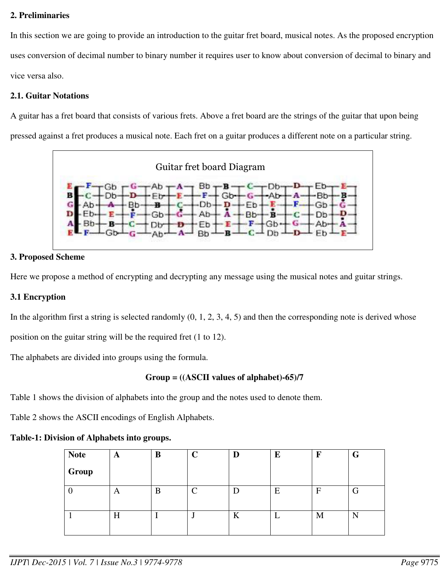### **2. Preliminaries**

In this section we are going to provide an introduction to the guitar fret board, musical notes. As the proposed encryption uses conversion of decimal number to binary number it requires user to know about conversion of decimal to binary and vice versa also.

### **2.1. Guitar Notations**

A guitar has a fret board that consists of various frets. Above a fret board are the strings of the guitar that upon being pressed against a fret produces a musical note. Each fret on a guitar produces a different note on a particular string.



## **3. Proposed Scheme**

Here we propose a method of encrypting and decrypting any message using the musical notes and guitar strings.

# **3.1 Encryption**

In the algorithm first a string is selected randomly  $(0, 1, 2, 3, 4, 5)$  and then the corresponding note is derived whose

position on the guitar string will be the required fret (1 to 12).

The alphabets are divided into groups using the formula.

# **Group = ((ASCII values of alphabet)-65)/7**

Table 1 shows the division of alphabets into the group and the notes used to denote them.

Table 2 shows the ASCII encodings of English Alphabets.

### **Table-1: Division of Alphabets into groups.**

| <b>Note</b> | A | B | $\mathbf C$ | D | E | F | G   |
|-------------|---|---|-------------|---|---|---|-----|
| Group       |   |   |             |   |   |   |     |
|             | A | B | $\subset$   |   | E | F |     |
|             | H |   |             | K |   | M | T 4 |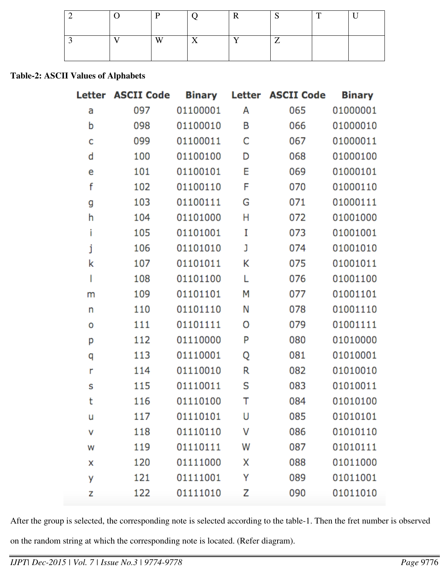|  | г       |              |              |   | $\mathbf{r}$ |  |
|--|---------|--------------|--------------|---|--------------|--|
|  | $T$ $T$ | $\mathbf{r}$ | $\mathbf{r}$ | - |              |  |

#### **Table-2: ASCII Values of Alphabets**

|   | Letter ASCII Code | <b>Binary</b> |   | Letter ASCII Code | <b>Binary</b> |
|---|-------------------|---------------|---|-------------------|---------------|
| а | 097               | 01100001      | Α | 065               | 01000001      |
| b | 098               | 01100010      | Β | 066               | 01000010      |
| C | 099               | 01100011      | C | 067               | 01000011      |
| d | 100               | 01100100      | D | 068               | 01000100      |
| е | 101               | 01100101      | E | 069               | 01000101      |
| f | 102               | 01100110      | F | 070               | 01000110      |
| g | 103               | 01100111      | G | 071               | 01000111      |
| h | 104               | 01101000      | Η | 072               | 01001000      |
| i | 105               | 01101001      | I | 073               | 01001001      |
| j | 106               | 01101010      | J | 074               | 01001010      |
| k | 107               | 01101011      | Κ | 075               | 01001011      |
| I | 108               | 01101100      | L | 076               | 01001100      |
| m | 109               | 01101101      | М | 077               | 01001101      |
| n | 110               | 01101110      | Ν | 078               | 01001110      |
| o | 111               | 01101111      | Ο | 079               | 01001111      |
| р | 112               | 01110000      | P | 080               | 01010000      |
| q | 113               | 01110001      | Q | 081               | 01010001      |
| r | 114               | 01110010      | R | 082               | 01010010      |
| S | 115               | 01110011      | S | 083               | 01010011      |
| t | 116               | 01110100      | Т | 084               | 01010100      |
| u | 117               | 01110101      | U | 085               | 01010101      |
| ٧ | 118               | 01110110      | ٧ | 086               | 01010110      |
| W | 119               | 01110111      | W | 087               | 01010111      |
| x | 120               | 01111000      | X | 088               | 01011000      |
| у | 121               | 01111001      | Υ | 089               | 01011001      |
| z | 122               | 01111010      | Z | 090               | 01011010      |

After the group is selected, the corresponding note is selected according to the table-1. Then the fret number is observed

on the random string at which the corresponding note is located. (Refer diagram).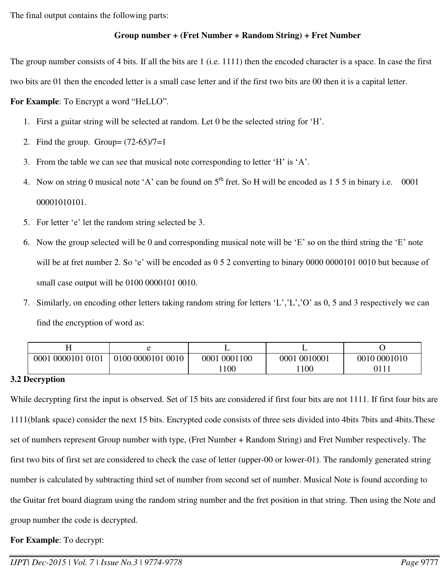The final output contains the following parts:

## **Group number + (Fret Number + Random String) + Fret Number**

The group number consists of 4 bits. If all the bits are 1 (i.e. 1111) then the encoded character is a space. In case the first two bits are 01 then the encoded letter is a small case letter and if the first two bits are 00 then it is a capital letter.

**For Example**: To Encrypt a word "HeLLO".

- 1. First a guitar string will be selected at random. Let 0 be the selected string for 'H'.
- 2. Find the group. Group=  $(72-65)/7=1$
- 3. From the table we can see that musical note corresponding to letter 'H' is 'A'.
- 4. Now on string 0 musical note 'A' can be found on  $5<sup>th</sup>$  fret. So H will be encoded as 1 5 5 in binary i.e. 0001 00001010101.
- 5. For letter 'e' let the random string selected be 3.
- 6. Now the group selected will be 0 and corresponding musical note will be 'E' so on the third string the 'E' note will be at fret number 2. So 'e' will be encoded as 0 5 2 converting to binary 0000 0000101 0010 but because of small case output will be 0100 0000101 0010.
- 7. Similarly, on encoding other letters taking random string for letters 'L','L','O' as 0, 5 and 3 respectively we can find the encryption of word as:

| 0001<br>0000101 0101 | 0100 0000101<br>0010 | 0001100<br>0001 | 0001 0010001 | 0010 0001010 |
|----------------------|----------------------|-----------------|--------------|--------------|
|                      |                      | 100             | 100          | 0111         |

### **3.2 Decryption**

While decrypting first the input is observed. Set of 15 bits are considered if first four bits are not 1111. If first four bits are 1111(blank space) consider the next 15 bits. Encrypted code consists of three sets divided into 4bits 7bits and 4bits.These set of numbers represent Group number with type, (Fret Number + Random String) and Fret Number respectively. The first two bits of first set are considered to check the case of letter (upper-00 or lower-01). The randomly generated string number is calculated by subtracting third set of number from second set of number. Musical Note is found according to the Guitar fret board diagram using the random string number and the fret position in that string. Then using the Note and group number the code is decrypted.

**For Example**: To decrypt: